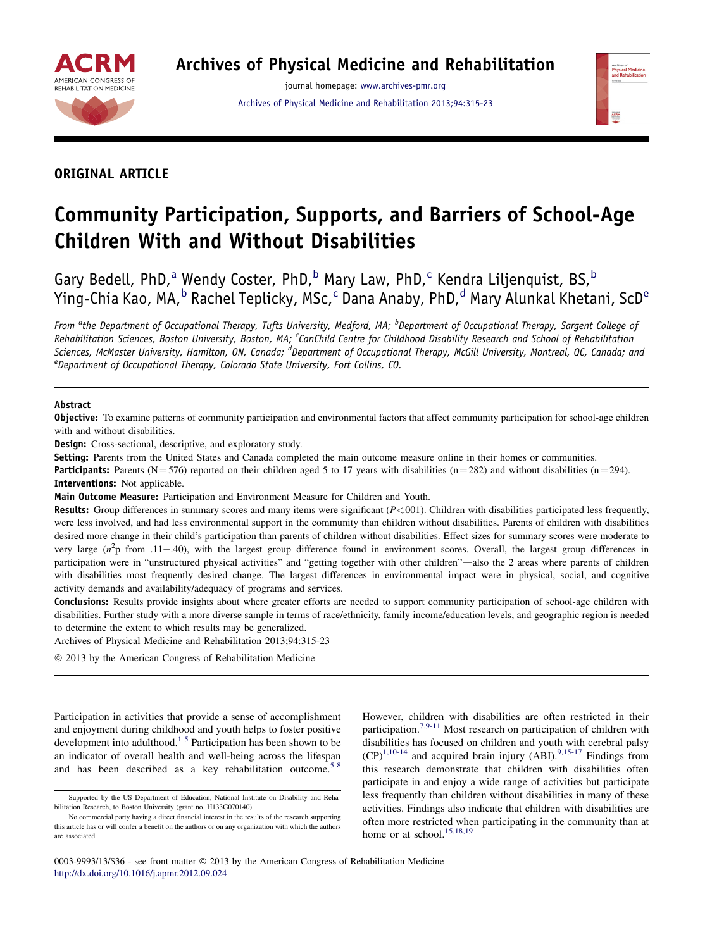

journal homepage: [www.archives-pmr.org](http://www.archives-pmr.org) [Archives of Physical Medicine and Rehabilitation 2013;94:315-23](http://dx.doi.org/10.1016/j.apmr.2012.09.024)



# ORIGINAL ARTICLE

# Community Participation, Supports, and Barriers of School-Age Children With and Without Disabilities

Gary Bedell, PhD,<sup>a</sup> Wendy Coster, PhD,<sup>b</sup> Mary Law, PhD,<sup>c</sup> Kendra Liljenquist, BS,<sup>b</sup> Ying-Chia Kao, MA,<sup>b</sup> Rachel Teplicky, MSc,<sup>c</sup> Dana Anaby, PhD,<sup>d</sup> Mary Alunkal Khetani, ScD<sup>e</sup>

From <sup>a</sup>the Department of Occupational Therapy, Tufts University, Medford, MA; <sup>b</sup>Department of Occupational Therapy, Sargent College of Rehabilitation Sciences, Boston University, Boston, MA; CanChild Centre for Childhood Disability Research and School of Rehabilitation Sciences, McMaster University, Hamilton, ON, Canada; <sup>d</sup>Department of Occupational Therapy, McGill University, Montreal, QC, Canada; and<br><sup>e</sup> Department of Occupational Therapy, Colorado State University, Fort Colline, CO <sup>e</sup> Department of Occupational Therapy, Colorado State University, Fort Collins, CO.

#### Abstract

**Objective:** To examine patterns of community participation and environmental factors that affect community participation for school-age children with and without disabilities.

Design: Cross-sectional, descriptive, and exploratory study.

Setting: Parents from the United States and Canada completed the main outcome measure online in their homes or communities.

**Participants:** Parents (N=576) reported on their children aged 5 to 17 years with disabilities (n=282) and without disabilities (n=294). Interventions: Not applicable.

Main Outcome Measure: Participation and Environment Measure for Children and Youth.

**Results:** Group differences in summary scores and many items were significant  $(P < 001)$ . Children with disabilities participated less frequently, were less involved, and had less environmental support in the community than children without disabilities. Parents of children with disabilities desired more change in their child's participation than parents of children without disabilities. Effect sizes for summary scores were moderate to very large  $(n^2p$  from .11-.40), with the largest group difference found in environment scores. Overall, the largest group differences in participation were in "unstructured physical activities" and "getting together with other children"—also the 2 areas where parents of children with disabilities most frequently desired change. The largest differences in environmental impact were in physical, social, and cognitive activity demands and availability/adequacy of programs and services.

Conclusions: Results provide insights about where greater efforts are needed to support community participation of school-age children with disabilities. Further study with a more diverse sample in terms of race/ethnicity, family income/education levels, and geographic region is needed to determine the extent to which results may be generalized.

Archives of Physical Medicine and Rehabilitation 2013;94:315-23

 $©$  2013 by the American Congress of Rehabilitation Medicine

Participation in activities that provide a sense of accomplishment and enjoyment during childhood and youth helps to foster positive development into adulthood.<sup>[1-5](#page-7-0)</sup> Participation has been shown to be an indicator of overall health and well-being across the lifespan and has been described as a key rehabilitation outcome.<sup>[5-8](#page-7-0)</sup> However, children with disabilities are often restricted in their participation.<sup>[7,9-11](#page-7-0)</sup> Most research on participation of children with disabilities has focused on children and youth with cerebral palsy  $(CP)^{1,10-14}$  $(CP)^{1,10-14}$  $(CP)^{1,10-14}$  and acquired brain injury (ABI).<sup>[9,15-17](#page-7-0)</sup> Findings from this research demonstrate that children with disabilities often participate in and enjoy a wide range of activities but participate less frequently than children without disabilities in many of these activities. Findings also indicate that children with disabilities are often more restricted when participating in the community than at home or at school.<sup>15,18,19</sup>

0003-9993/13/\$36 - see front matter © 2013 by the American Congress of Rehabilitation Medicine <http://dx.doi.org/10.1016/j.apmr.2012.09.024>

Supported by the US Department of Education, National Institute on Disability and Rehabilitation Research, to Boston University (grant no. H133G070140).

No commercial party having a direct financial interest in the results of the research supporting this article has or will confer a benefit on the authors or on any organization with which the authors are associated.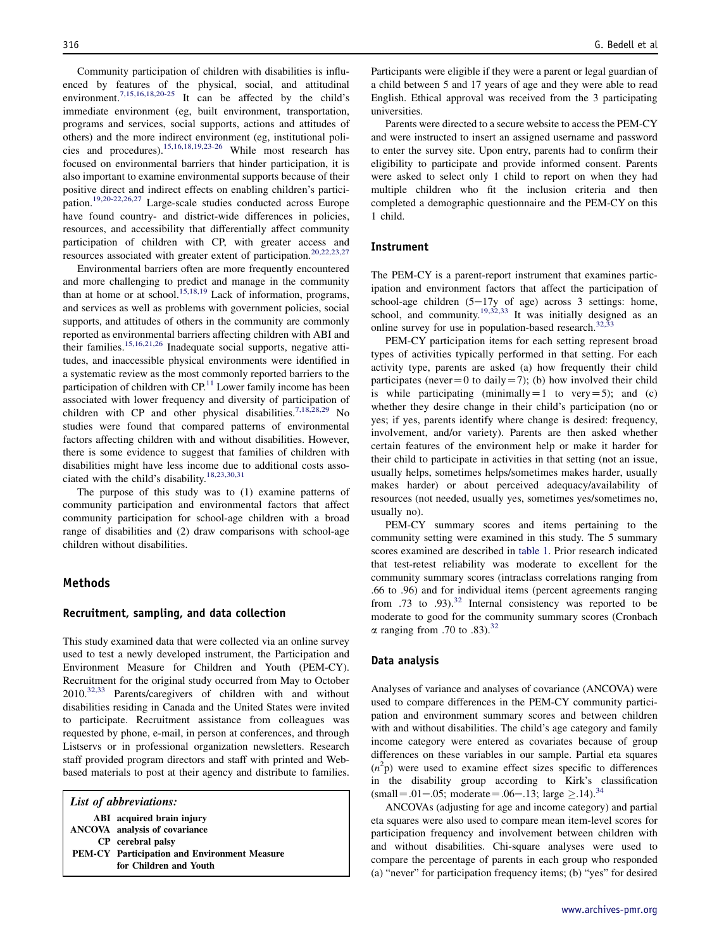Community participation of children with disabilities is influenced by features of the physical, social, and attitudinal environment.<sup>[7,15,16,18,20-25](#page-7-0)</sup> It can be affected by the child's immediate environment (eg, built environment, transportation, programs and services, social supports, actions and attitudes of others) and the more indirect environment (eg, institutional policies and procedures).[15,16,18,19,23-26](#page-7-0) While most research has focused on environmental barriers that hinder participation, it is also important to examine environmental supports because of their positive direct and indirect effects on enabling children's participation.[19,20-22,26,27](#page-7-0) Large-scale studies conducted across Europe have found country- and district-wide differences in policies, resources, and accessibility that differentially affect community participation of children with CP, with greater access and resources associated with greater extent of participation.<sup>[20,22,23,27](#page-7-0)</sup>

Environmental barriers often are more frequently encountered and more challenging to predict and manage in the community than at home or at school.<sup>[15,18,19](#page-7-0)</sup> Lack of information, programs, and services as well as problems with government policies, social supports, and attitudes of others in the community are commonly reported as environmental barriers affecting children with ABI and their families.[15,16,21,26](#page-7-0) Inadequate social supports, negative attitudes, and inaccessible physical environments were identified in a systematic review as the most commonly reported barriers to the participation of children with  $\text{CP}^{11}$  $\text{CP}^{11}$  $\text{CP}^{11}$  Lower family income has been associated with lower frequency and diversity of participation of children with CP and other physical disabilities.<sup>[7,18,28,29](#page-7-0)</sup> No studies were found that compared patterns of environmental factors affecting children with and without disabilities. However, there is some evidence to suggest that families of children with disabilities might have less income due to additional costs associated with the child's disability.[18,23,30,31](#page-7-0)

The purpose of this study was to (1) examine patterns of community participation and environmental factors that affect community participation for school-age children with a broad range of disabilities and (2) draw comparisons with school-age children without disabilities.

### Methods

#### Recruitment, sampling, and data collection

This study examined data that were collected via an online survey used to test a newly developed instrument, the Participation and Environment Measure for Children and Youth (PEM-CY). Recruitment for the original study occurred from May to October 2010.[32,33](#page-8-0) Parents/caregivers of children with and without disabilities residing in Canada and the United States were invited to participate. Recruitment assistance from colleagues was requested by phone, e-mail, in person at conferences, and through Listservs or in professional organization newsletters. Research staff provided program directors and staff with printed and Webbased materials to post at their agency and distribute to families.

List of abbreviations: ABI acquired brain injury ANCOVA analysis of covariance CP cerebral palsy PEM-CY Participation and Environment Measure for Children and Youth

Participants were eligible if they were a parent or legal guardian of a child between 5 and 17 years of age and they were able to read English. Ethical approval was received from the 3 participating universities.

Parents were directed to a secure website to access the PEM-CY and were instructed to insert an assigned username and password to enter the survey site. Upon entry, parents had to confirm their eligibility to participate and provide informed consent. Parents were asked to select only 1 child to report on when they had multiple children who fit the inclusion criteria and then completed a demographic questionnaire and the PEM-CY on this 1 child.

#### Instrument

The PEM-CY is a parent-report instrument that examines participation and environment factors that affect the participation of school-age children  $(5-17y)$  of age) across 3 settings: home, school, and community.<sup>[19,32,33](#page-7-0)</sup> It was initially designed as an online survey for use in population-based research.<sup>32,3</sup>

PEM-CY participation items for each setting represent broad types of activities typically performed in that setting. For each activity type, parents are asked (a) how frequently their child participates (never=0 to daily=7); (b) how involved their child is while participating (minimally = 1 to very = 5); and (c) whether they desire change in their child's participation (no or yes; if yes, parents identify where change is desired: frequency, involvement, and/or variety). Parents are then asked whether certain features of the environment help or make it harder for their child to participate in activities in that setting (not an issue, usually helps, sometimes helps/sometimes makes harder, usually makes harder) or about perceived adequacy/availability of resources (not needed, usually yes, sometimes yes/sometimes no, usually no).

PEM-CY summary scores and items pertaining to the community setting were examined in this study. The 5 summary scores examined are described in [table 1](#page-2-0). Prior research indicated that test-retest reliability was moderate to excellent for the community summary scores (intraclass correlations ranging from .66 to .96) and for individual items (percent agreements ranging from .73 to .93).<sup>[32](#page-8-0)</sup> Internal consistency was reported to be moderate to good for the community summary scores (Cronbach  $\alpha$  ranging from .70 to .83).<sup>[32](#page-8-0)</sup>

#### Data analysis

Analyses of variance and analyses of covariance (ANCOVA) were used to compare differences in the PEM-CY community participation and environment summary scores and between children with and without disabilities. The child's age category and family income category were entered as covariates because of group differences on these variables in our sample. Partial eta squares  $(n^2p)$  were used to examine effect sizes specific to differences in the disability group according to Kirk's classification (small = .01-.05; moderate = .06-.13; large  $\geq$ .14).<sup>[34](#page-8-0)</sup>

ANCOVAs (adjusting for age and income category) and partial eta squares were also used to compare mean item-level scores for participation frequency and involvement between children with and without disabilities. Chi-square analyses were used to compare the percentage of parents in each group who responded (a) "never" for participation frequency items; (b) "yes" for desired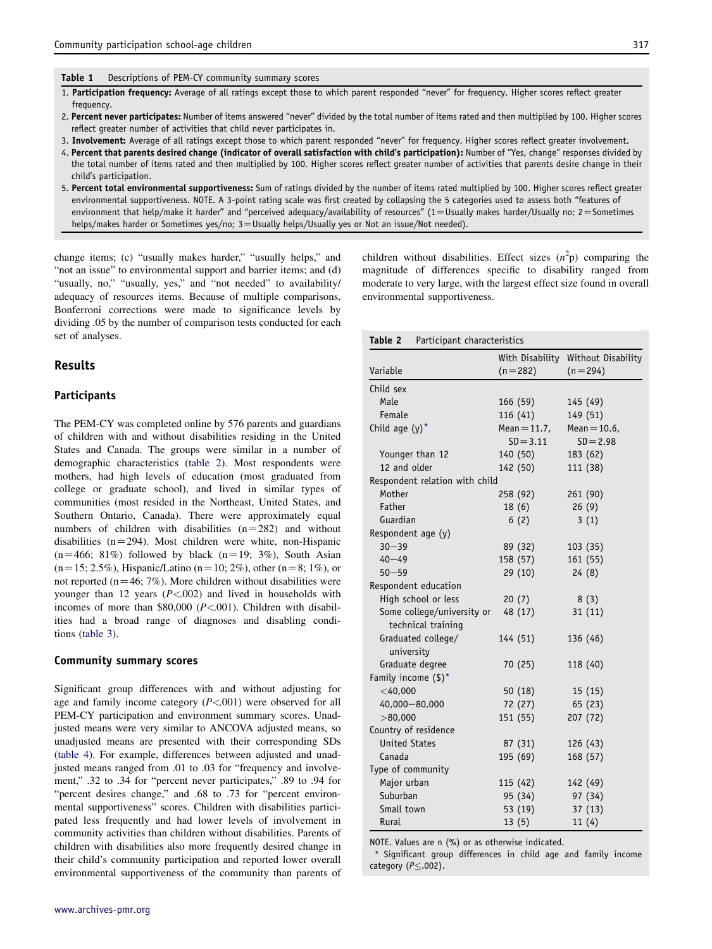<span id="page-2-0"></span>Table 1 Descriptions of PEM-CY community summary scores

1. Participation frequency: Average of all ratings except those to which parent responded "never" for frequency. Higher scores reflect greater frequency.

2. Percent never participates: Number of items answered "never" divided by the total number of items rated and then multiplied by 100. Higher scores reflect greater number of activities that child never participates in.

- 3. Involvement: Average of all ratings except those to which parent responded "never" for frequency. Higher scores reflect greater involvement.
- 4. Percent that parents desired change (indicator of overall satisfaction with child's participation): Number of "Yes, change" responses divided by the total number of items rated and then multiplied by 100. Higher scores reflect greater number of activities that parents desire change in their child's participation.
- 5. Percent total environmental supportiveness: Sum of ratings divided by the number of items rated multiplied by 100. Higher scores reflect greater environmental supportiveness. NOTE. A 3-point rating scale was first created by collapsing the 5 categories used to assess both "features of environment that help/make it harder" and "perceived adequacy/availability of resources" (1=Usually makes harder/Usually no; 2=Sometimes helps/makes harder or Sometimes yes/no; 3=Usually helps/Usually yes or Not an issue/Not needed).

change items; (c) "usually makes harder," "usually helps," and "not an issue" to environmental support and barrier items; and (d) "usually, no," "usually, yes," and "not needed" to availability/ adequacy of resources items. Because of multiple comparisons, Bonferroni corrections were made to significance levels by dividing .05 by the number of comparison tests conducted for each set of analyses.

#### Results

#### **Participants**

The PEM-CY was completed online by 576 parents and guardians of children with and without disabilities residing in the United States and Canada. The groups were similar in a number of demographic characteristics (table 2). Most respondents were mothers, had high levels of education (most graduated from college or graduate school), and lived in similar types of communities (most resided in the Northeast, United States, and Southern Ontario, Canada). There were approximately equal numbers of children with disabilities  $(n=282)$  and without disabilities  $(n=294)$ . Most children were white, non-Hispanic  $(n=466; 81%)$  followed by black  $(n=19; 3%)$ , South Asian  $(n=15; 2.5\%)$ , Hispanic/Latino  $(n=10; 2\%)$ , other  $(n=8; 1\%)$ , or not reported ( $n=46$ ; 7%). More children without disabilities were younger than 12 years  $(P<.002)$  and lived in households with incomes of more than \$80,000 ( $P < 001$ ). Children with disabilities had a broad range of diagnoses and disabling conditions ([table 3\)](#page-3-0).

#### Community summary scores

Significant group differences with and without adjusting for age and family income category  $(P<.001)$  were observed for all PEM-CY participation and environment summary scores. Unadjusted means were very similar to ANCOVA adjusted means, so unadjusted means are presented with their corresponding SDs [\(table 4](#page-3-0)). For example, differences between adjusted and unadjusted means ranged from .01 to .03 for "frequency and involvement," .32 to .34 for "percent never participates," .89 to .94 for "percent desires change," and .68 to .73 for "percent environmental supportiveness" scores. Children with disabilities participated less frequently and had lower levels of involvement in community activities than children without disabilities. Parents of children with disabilities also more frequently desired change in their child's community participation and reported lower overall environmental supportiveness of the community than parents of

children without disabilities. Effect sizes  $(n^2p)$  comparing the magnitude of differences specific to disability ranged from moderate to very large, with the largest effect size found in overall environmental supportiveness.

# Table 2 Participant characteristics

|                                   |                | With Disability Without Disability |
|-----------------------------------|----------------|------------------------------------|
| Variable                          | $(n=282)$      | $(n=294)$                          |
| Child sex                         |                |                                    |
| Male                              | 166(59)        | 145 (49)                           |
| Female                            | 116(41)        | 149 (51)                           |
| Child age $(y)^*$                 | $Mean = 11.7,$ | Mean = $10.6$ ,                    |
|                                   | $SD = 3.11$    | $SD = 2.98$                        |
| Younger than 12                   | 140 (50)       | 183 (62)                           |
| 12 and older                      | 142 (50)       | 111 (38)                           |
| Respondent relation with child    |                |                                    |
| Mother                            | 258 (92)       | 261 (90)                           |
| Father                            | 18(6)          | 26(9)                              |
| Guardian                          | 6(2)           | 3(1)                               |
| Respondent age (y)                |                |                                    |
| $30 - 39$                         | 89 (32)        | 103 (35)                           |
| $40 - 49$                         | 158 (57)       | 161 (55)                           |
| $50 - 59$                         | 29 (10)        | 24(8)                              |
| Respondent education              |                |                                    |
| High school or less               | 20(7)          | 8(3)                               |
| Some college/university or        | 48 (17)        | 31(11)                             |
| technical training                |                |                                    |
| Graduated college/                | 144 (51)       | 136 (46)                           |
| university                        |                |                                    |
| Graduate degree                   | 70 (25)        | 118 (40)                           |
| Family income $($ 1) <sup>*</sup> |                |                                    |
| $<$ 40,000                        | 50(18)         | 15(15)                             |
| 40,000-80,000                     | 72 (27)        | 65 (23)                            |
| >80,000                           | 151 (55)       | 207 (72)                           |
| Country of residence              |                |                                    |
| <b>United States</b>              | 87 (31)        | 126 (43)                           |
| Canada                            | 195 (69)       | 168 (57)                           |
| Type of community                 |                |                                    |
| Major urban                       | 115(42)        | 142 (49)                           |
| Suburban                          | 95 (34)        | 97 (34)                            |
| Small town                        | 53 (19)        | 37(13)                             |
| Rural                             | 13(5)          | 11(4)                              |

NOTE. Values are n (%) or as otherwise indicated.

Significant group differences in child age and family income category ( $P \leq .002$ ).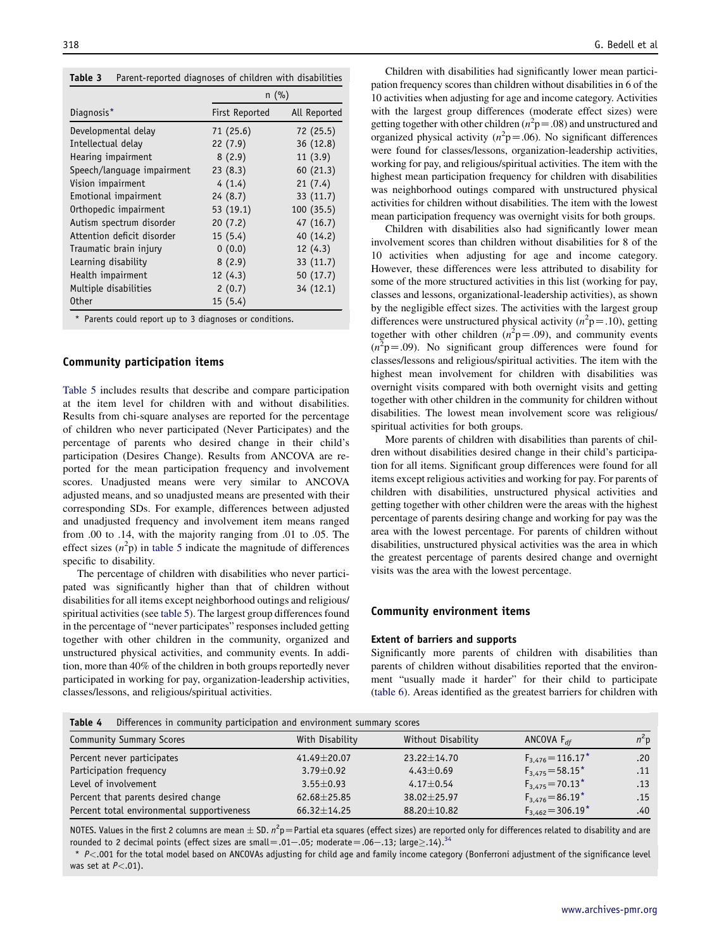<span id="page-3-0"></span>

|                            | $n$ (%)        |              |  |  |  |  |
|----------------------------|----------------|--------------|--|--|--|--|
| Diagnosis <sup>*</sup>     | First Reported | All Reported |  |  |  |  |
| Developmental delay        | 71 (25.6)      | 72 (25.5)    |  |  |  |  |
| Intellectual delay         | 22(7.9)        | 36 (12.8)    |  |  |  |  |
| Hearing impairment         | 8(2.9)         | 11(3.9)      |  |  |  |  |
| Speech/language impairment | 23(8.3)        | 60 (21.3)    |  |  |  |  |
| Vision impairment          | 4(1.4)         | 21(7.4)      |  |  |  |  |
| Emotional impairment       | 24(8.7)        | 33(11.7)     |  |  |  |  |
| Orthopedic impairment      | 53 (19.1)      | 100(35.5)    |  |  |  |  |
| Autism spectrum disorder   | 20(7.2)        | 47(16.7)     |  |  |  |  |
| Attention deficit disorder | 15(5.4)        | 40 (14.2)    |  |  |  |  |
| Traumatic brain injury     | 0(0.0)         | 12(4.3)      |  |  |  |  |
| Learning disability        | 8(2.9)         | 33(11.7)     |  |  |  |  |
| Health impairment          | 12(4.3)        | 50 (17.7)    |  |  |  |  |
| Multiple disabilities      | 2(0.7)         | 34(12.1)     |  |  |  |  |
| <b>Other</b>               | 15(5.4)        |              |  |  |  |  |

\* Parents could report up to 3 diagnoses or conditions.

#### Community participation items

[Table 5](#page-4-0) includes results that describe and compare participation at the item level for children with and without disabilities. Results from chi-square analyses are reported for the percentage of children who never participated (Never Participates) and the percentage of parents who desired change in their child's participation (Desires Change). Results from ANCOVA are reported for the mean participation frequency and involvement scores. Unadjusted means were very similar to ANCOVA adjusted means, and so unadjusted means are presented with their corresponding SDs. For example, differences between adjusted and unadjusted frequency and involvement item means ranged from .00 to .14, with the majority ranging from .01 to .05. The effect sizes  $(n^2p)$  in [table 5](#page-4-0) indicate the magnitude of differences specific to disability.

The percentage of children with disabilities who never participated was significantly higher than that of children without disabilities for all items except neighborhood outings and religious/ spiritual activities (see [table 5](#page-4-0)). The largest group differences found in the percentage of "never participates" responses included getting together with other children in the community, organized and unstructured physical activities, and community events. In addition, more than 40% of the children in both groups reportedly never participated in working for pay, organization-leadership activities, classes/lessons, and religious/spiritual activities.

Children with disabilities had significantly lower mean participation frequency scores than children without disabilities in 6 of the 10 activities when adjusting for age and income category. Activities with the largest group differences (moderate effect sizes) were getting together with other children ( $n^2$ p = .08) and unstructured and organized physical activity ( $n^2$ p=.06). No significant differences were found for classes/lessons, organization-leadership activities, working for pay, and religious/spiritual activities. The item with the highest mean participation frequency for children with disabilities was neighborhood outings compared with unstructured physical activities for children without disabilities. The item with the lowest mean participation frequency was overnight visits for both groups.

Children with disabilities also had significantly lower mean involvement scores than children without disabilities for 8 of the 10 activities when adjusting for age and income category. However, these differences were less attributed to disability for some of the more structured activities in this list (working for pay, classes and lessons, organizational-leadership activities), as shown by the negligible effect sizes. The activities with the largest group differences were unstructured physical activity ( $n^2$ p=.10), getting together with other children  $(n^2p = 0.09)$ , and community events  $(n^2p = .09)$ . No significant group differences were found for classes/lessons and religious/spiritual activities. The item with the highest mean involvement for children with disabilities was overnight visits compared with both overnight visits and getting together with other children in the community for children without disabilities. The lowest mean involvement score was religious/ spiritual activities for both groups.

More parents of children with disabilities than parents of children without disabilities desired change in their child's participation for all items. Significant group differences were found for all items except religious activities and working for pay. For parents of children with disabilities, unstructured physical activities and getting together with other children were the areas with the highest percentage of parents desiring change and working for pay was the area with the lowest percentage. For parents of children without disabilities, unstructured physical activities was the area in which the greatest percentage of parents desired change and overnight visits was the area with the lowest percentage.

#### Community environment items

#### Extent of barriers and supports

Significantly more parents of children with disabilities than parents of children without disabilities reported that the environment "usually made it harder" for their child to participate ([table 6\)](#page-5-0). Areas identified as the greatest barriers for children with

|  | Table 4 Differences in community participation and environment summary scores |  |  |  |  |  |  |
|--|-------------------------------------------------------------------------------|--|--|--|--|--|--|
|--|-------------------------------------------------------------------------------|--|--|--|--|--|--|

| יי טשעו<br><b>DITERCIOLS</b> IN COMMUNITY PRITICIPATION AND CHANNOMICAL SUMMARY SCOTES |                   |                    |                       |       |
|----------------------------------------------------------------------------------------|-------------------|--------------------|-----------------------|-------|
| <b>Community Summary Scores</b>                                                        | With Disability   | Without Disability | ANCOVA $F_{df}$       | $n^2$ |
| Percent never participates                                                             | $41.49 \pm 20.07$ | $23.22 + 14.70$    | $F_{3,476} = 116.17*$ | .20   |
| Participation frequency                                                                | $3.79 \pm 0.92$   | $4.43 + 0.69$      | $F_{3,475} = 58.15*$  | .11   |
| Level of involvement                                                                   | $3.55 + 0.93$     | $4.17 + 0.54$      | $F_{3,475} = 70.13*$  | .13   |
| Percent that parents desired change                                                    | $62.68 \pm 25.85$ | 38.02±25.97        | $F_{3.476} = 86.19*$  | .15   |
| Percent total environmental supportiveness                                             | $66.32 \pm 14.25$ | $88.20 \pm 10.82$  | $F_{3,462} = 306.19*$ | .40   |

NOTES. Values in the first 2 columns are mean  $\pm$  SD.  $n^2p$  = Partial eta squares (effect sizes) are reported only for differences related to disability and are rounded to 2 decimal points (effect sizes are small=.01–.05; moderate=.06–.13; large $\geq$ .14).<sup>[34](#page-8-0)</sup>

 $*$  P<.001 for the total model based on ANCOVAs adjusting for child age and family income category (Bonferroni adjustment of the significance level was set at  $P<.01$ ).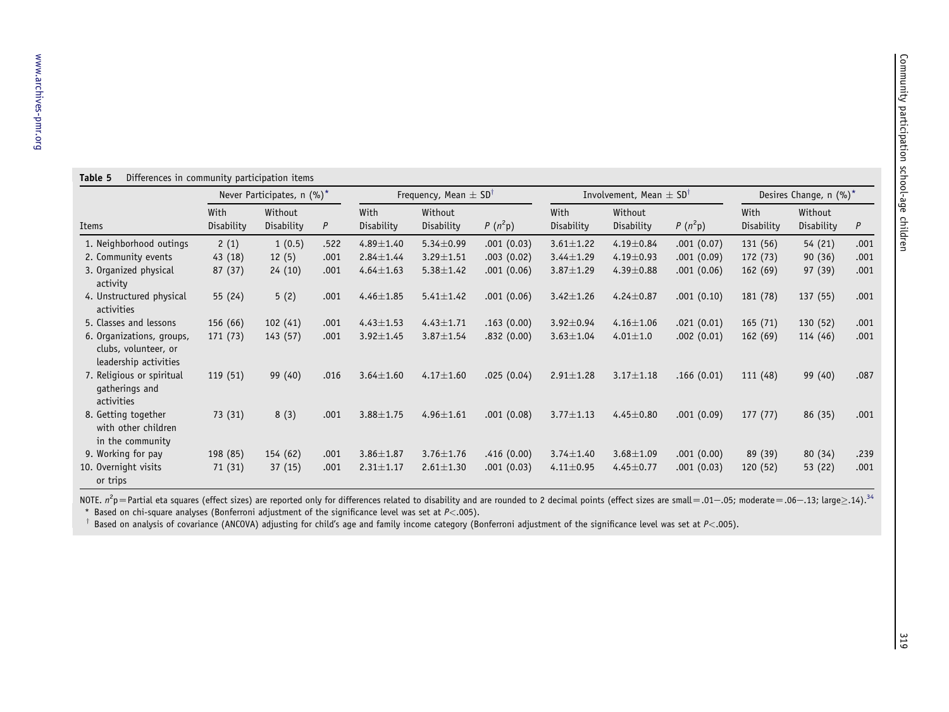<span id="page-4-0"></span>

| Table 5<br>Differences in community participation items                    |                                          |                       |      |                    |                                       |            |                                         |                       |            |                        |                       |      |
|----------------------------------------------------------------------------|------------------------------------------|-----------------------|------|--------------------|---------------------------------------|------------|-----------------------------------------|-----------------------|------------|------------------------|-----------------------|------|
|                                                                            | Never Participates, $n$ (%) <sup>*</sup> |                       |      |                    | Frequency, Mean $\pm$ SD <sup>†</sup> |            | Involvement, Mean $\pm$ SD <sup>T</sup> |                       |            | Desires Change, n (%)* |                       |      |
| Items                                                                      | With<br>Disability                       | Without<br>Disability | P    | With<br>Disability | Without<br>Disability                 | $P(n^2p)$  | With<br>Disability                      | Without<br>Disability | $P(n^2p)$  | With<br>Disability     | Without<br>Disability | P    |
| 1. Neighborhood outings                                                    | 2(1)                                     | 1(0.5)                | .522 | $4.89 \pm 1.40$    | $5.34 \pm 0.99$                       | .001(0.03) | $3.61 \pm 1.22$                         | $4.19 \pm 0.84$       | .001(0.07) | 131 (56)               | 54 (21)               | .001 |
| 2. Community events                                                        | 43 (18)                                  | 12(5)                 | .001 | $2.84 \pm 1.44$    | $3.29 \pm 1.51$                       | .003(0.02) | $3.44 \pm 1.29$                         | $4.19 \pm 0.93$       | .001(0.09) | 172 (73)               | 90 (36)               | .001 |
| 3. Organized physical<br>activity                                          | 87(37)                                   | 24(10)                | .001 | $4.64 \pm 1.63$    | $5.38 \pm 1.42$                       | .001(0.06) | $3.87 \pm 1.29$                         | $4.39 \pm 0.88$       | .001(0.06) | 162(69)                | 97 (39)               | .001 |
| 4. Unstructured physical<br>activities                                     | 55 (24)                                  | 5(2)                  | .001 | $4.46 \pm 1.85$    | $5.41 \pm 1.42$                       | .001(0.06) | $3.42 \pm 1.26$                         | $4.24 \pm 0.87$       | .001(0.10) | 181 (78)               | 137 (55)              | .001 |
| 5. Classes and lessons                                                     | 156(66)                                  | 102(41)               | .001 | $4.43 \pm 1.53$    | $4.43 \pm 1.71$                       | .163(0.00) | $3.92 \pm 0.94$                         | $4.16 \pm 1.06$       | .021(0.01) | 165(71)                | 130 (52)              | .001 |
| 6. Organizations, groups,<br>clubs, volunteer, or<br>leadership activities | 171 (73)                                 | 143 (57)              | .001 | $3.92 \pm 1.45$    | $3.87 \pm 1.54$                       | .832(0.00) | $3.63 \pm 1.04$                         | $4.01 \pm 1.0$        | .002(0.01) | 162(69)                | 114 (46)              | .001 |
| 7. Religious or spiritual<br>gatherings and<br>activities                  | 119(51)                                  | 99 (40)               | .016 | $3.64 \pm 1.60$    | $4.17 \pm 1.60$                       | .025(0.04) | $2.91 \pm 1.28$                         | $3.17 \pm 1.18$       | .166(0.01) | 111 (48)               | 99 (40)               | .087 |
| 8. Getting together<br>with other children<br>in the community             | 73 (31)                                  | 8(3)                  | .001 | $3.88 \pm 1.75$    | $4.96 \pm 1.61$                       | .001(0.08) | $3.77 \pm 1.13$                         | $4.45 \pm 0.80$       | .001(0.09) | 177(77)                | 86 (35)               | .001 |
| 9. Working for pay                                                         | 198 (85)                                 | 154 (62)              | .001 | $3.86 \pm 1.87$    | $3.76 \pm 1.76$                       | .416(0.00) | $3.74 \pm 1.40$                         | $3.68 \pm 1.09$       | .001(0.00) | 89 (39)                | 80(34)                | .239 |
| 10. Overnight visits<br>or trips                                           | 71(31)                                   | 37(15)                | .001 | $2.31 \pm 1.17$    | $2.61 \pm 1.30$                       | .001(0.03) | $4.11 \pm 0.95$                         | $4.45 \pm 0.77$       | .001(0.03) | 120(52)                | 53 (22)               | .001 |

NOTE.  $n^2$ p $=$  Partial eta squares (effect sizes) are reported only for differences related to disability and are rounded to 2 decimal points (effect sizes are small $=$  .01—.05; moderate $=$  .06—.13; large $\geq$  .14). $^{34}$  $^{34}$  $^{34}$ 

\* Based on chi-square analyses (Bonferroni adjustment of the significance level was set at  $P<.005$ ).

 $^{\dagger}$  Based on analysis of covariance (ANCOVA) adjusting for child's age and family income category (Bonferroni adjustment of the significance level was set at  $P$ <.005).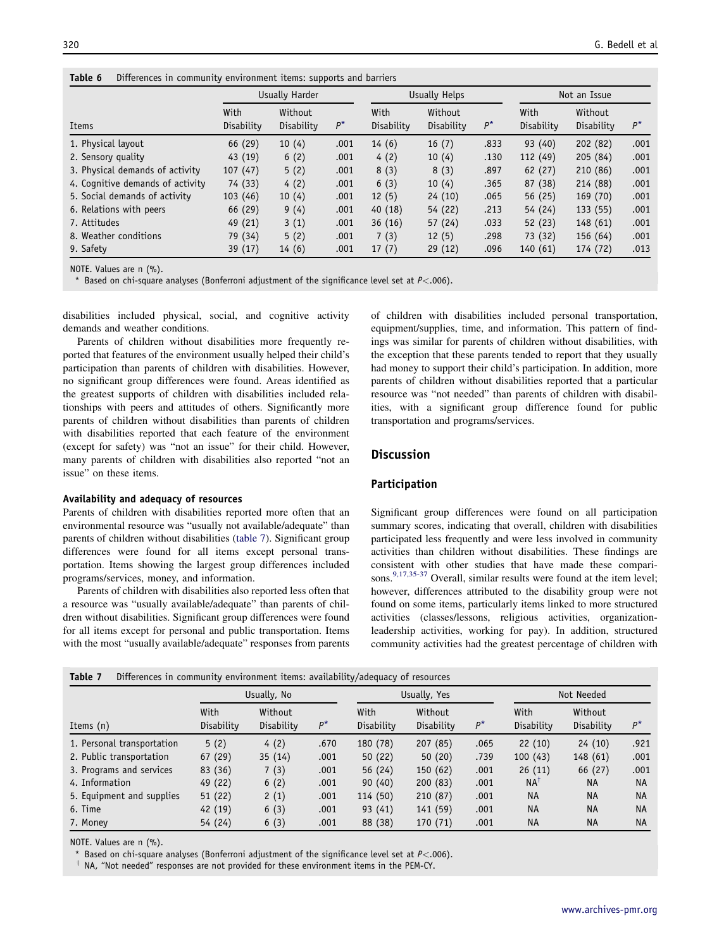<span id="page-5-0"></span>Table 6 Differences in community environment items: supports and barriers

|                                  | Usually Harder     |                       |       | Usually Helps      |                       |       | Not an Issue       |                       |       |
|----------------------------------|--------------------|-----------------------|-------|--------------------|-----------------------|-------|--------------------|-----------------------|-------|
| Items                            | With<br>Disability | Without<br>Disability | $P^*$ | With<br>Disability | Without<br>Disability | $P^*$ | With<br>Disability | Without<br>Disability | $P^*$ |
| 1. Physical layout               | 66 (29)            | 10(4)                 | .001  | 14(6)              | 16(7)                 | .833  | 93 (40)            | 202(82)               | .001  |
| 2. Sensory quality               | 43 (19)            | 6(2)                  | .001  | 4(2)               | 10(4)                 | .130  | 112(49)            | 205(84)               | .001  |
| 3. Physical demands of activity  | 107(47)            | 5(2)                  | .001  | 8(3)               | 8(3)                  | .897  | 62(27)             | 210(86)               | .001  |
| 4. Cognitive demands of activity | 74 (33)            | 4(2)                  | .001  | 6(3)               | 10(4)                 | .365  | 87 (38)            | 214 (88)              | .001  |
| 5. Social demands of activity    | 103(46)            | 10(4)                 | .001  | 12(5)              | 24(10)                | .065  | 56(25)             | 169(70)               | .001  |
| 6. Relations with peers          | 66 (29)            | 9(4)                  | .001  | 40 (18)            | 54 (22)               | .213  | 54 (24)            | 133(55)               | .001  |
| 7. Attitudes                     | 49 (21)            | 3(1)                  | .001  | 36(16)             | 57(24)                | .033  | 52(23)             | 148 (61)              | .001  |
| 8. Weather conditions            | 79 (34)            | 5(2)                  | .001  | 7(3)               | 12(5)                 | .298  | 73 (32)            | 156(64)               | .001  |
| 9. Safety                        | 39 (17)            | 14(6)                 | .001  | 17(7)              | 29(12)                | .096  | 140(61)            | 174 (72)              | .013  |

NOTE. Values are n (%).

\* Based on chi-square analyses (Bonferroni adjustment of the significance level set at  $P < .006$ ).

disabilities included physical, social, and cognitive activity demands and weather conditions.

Parents of children without disabilities more frequently reported that features of the environment usually helped their child's participation than parents of children with disabilities. However, no significant group differences were found. Areas identified as the greatest supports of children with disabilities included relationships with peers and attitudes of others. Significantly more parents of children without disabilities than parents of children with disabilities reported that each feature of the environment (except for safety) was "not an issue" for their child. However, many parents of children with disabilities also reported "not an issue" on these items.

#### Availability and adequacy of resources

Parents of children with disabilities reported more often that an environmental resource was "usually not available/adequate" than parents of children without disabilities (table 7). Significant group differences were found for all items except personal transportation. Items showing the largest group differences included programs/services, money, and information.

Parents of children with disabilities also reported less often that a resource was "usually available/adequate" than parents of children without disabilities. Significant group differences were found for all items except for personal and public transportation. Items with the most "usually available/adequate" responses from parents of children with disabilities included personal transportation, equipment/supplies, time, and information. This pattern of findings was similar for parents of children without disabilities, with the exception that these parents tended to report that they usually had money to support their child's participation. In addition, more parents of children without disabilities reported that a particular resource was "not needed" than parents of children with disabilities, with a significant group difference found for public transportation and programs/services.

# **Discussion**

#### Participation

Significant group differences were found on all participation summary scores, indicating that overall, children with disabilities participated less frequently and were less involved in community activities than children without disabilities. These findings are consistent with other studies that have made these compari-sons.<sup>[9,17,35-37](#page-7-0)</sup> Overall, similar results were found at the item level; however, differences attributed to the disability group were not found on some items, particularly items linked to more structured activities (classes/lessons, religious activities, organizationleadership activities, working for pay). In addition, structured community activities had the greatest percentage of children with

| Table 7 |  | Differences in community environment items: availability/adequacy of resources |  |  |  |
|---------|--|--------------------------------------------------------------------------------|--|--|--|
|         |  |                                                                                |  |  |  |

|                            |                    | Usually, No           |       |                    | Usually, Yes          |       | Not Needed         |                       |           |  |
|----------------------------|--------------------|-----------------------|-------|--------------------|-----------------------|-------|--------------------|-----------------------|-----------|--|
| Items $(n)$                | With<br>Disability | Without<br>Disability | $P^*$ | With<br>Disability | Without<br>Disability | $P^*$ | With<br>Disability | Without<br>Disability | $P^*$     |  |
| 1. Personal transportation | 5(2)               | 4(2)                  | .670  | 180 (78)           | 207(85)               | .065  | 22(10)             | 24(10)                | .921      |  |
| 2. Public transportation   | 67(29)             | 35(14)                | .001  | 50(22)             | 50(20)                | .739  | 100(43)            | 148 (61)              | .001      |  |
| 3. Programs and services   | 83 (36)            | 7(3)                  | .001  | 56(24)             | 150(62)               | .001  | 26(11)             | 66 (27)               | .001      |  |
| 4. Information             | 49 (22)            | 6(2)                  | .001  | 90(40)             | 200(83)               | .001  | $NA^{\dagger}$     | <b>NA</b>             | <b>NA</b> |  |
| 5. Equipment and supplies  | 51(22)             | 2(1)                  | .001  | 114 (50)           | 210(87)               | .001  | <b>NA</b>          | <b>NA</b>             | <b>NA</b> |  |
| 6. Time                    | 42 (19)            | 6(3)                  | .001  | 93(41)             | 141 (59)              | .001  | <b>NA</b>          | <b>NA</b>             | <b>NA</b> |  |
| 7. Money                   | 54 (24)            | 6(3)                  | .001  | 88 (38)            | 170 (71)              | .001  | <b>NA</b>          | <b>NA</b>             | <b>NA</b> |  |

NOTE. Values are n (%).

Based on chi-square analyses (Bonferroni adjustment of the significance level set at  $P < .006$ ).

NA, "Not needed" responses are not provided for these environment items in the PEM-CY.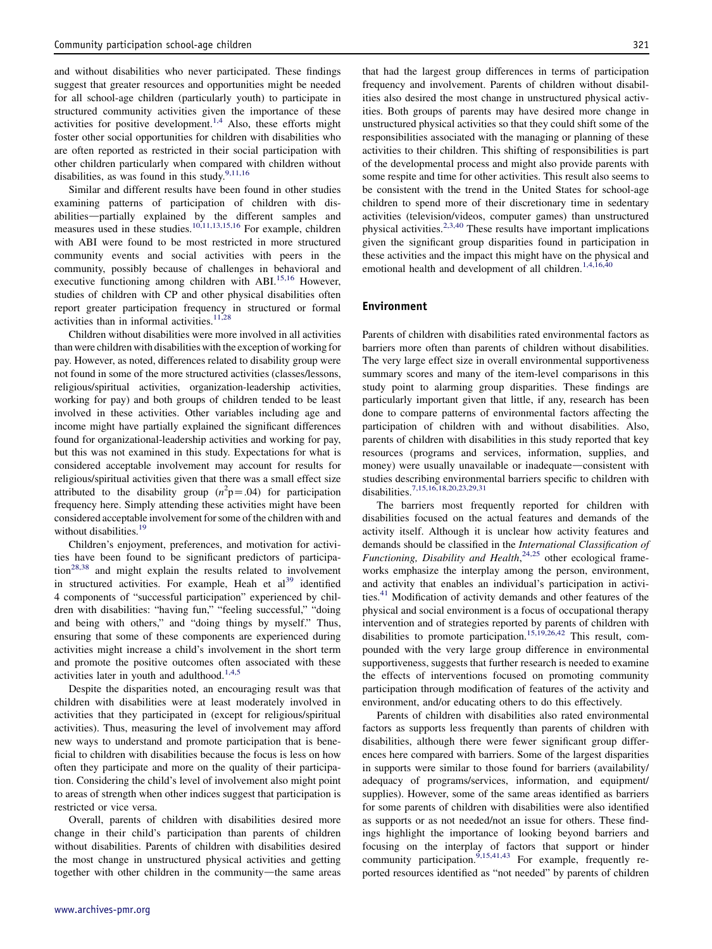and without disabilities who never participated. These findings suggest that greater resources and opportunities might be needed for all school-age children (particularly youth) to participate in structured community activities given the importance of these activities for positive development.<sup>1,4</sup> Also, these efforts might foster other social opportunities for children with disabilities who are often reported as restricted in their social participation with other children particularly when compared with children without disabilities, as was found in this study.<sup>[9,11,16](#page-7-0)</sup>

Similar and different results have been found in other studies examining patterns of participation of children with disabilities-partially explained by the different samples and measures used in these studies.<sup>[10,11,13,15,16](#page-7-0)</sup> For example, children with ABI were found to be most restricted in more structured community events and social activities with peers in the community, possibly because of challenges in behavioral and executive functioning among children with ABI.<sup>[15,16](#page-7-0)</sup> However, studies of children with CP and other physical disabilities often report greater participation frequency in structured or formal activities than in informal activities.<sup>[11,28](#page-7-0)</sup>

Children without disabilities were more involved in all activities than were children with disabilities with the exception of working for pay. However, as noted, differences related to disability group were not found in some of the more structured activities (classes/lessons, religious/spiritual activities, organization-leadership activities, working for pay) and both groups of children tended to be least involved in these activities. Other variables including age and income might have partially explained the significant differences found for organizational-leadership activities and working for pay, but this was not examined in this study. Expectations for what is considered acceptable involvement may account for results for religious/spiritual activities given that there was a small effect size attributed to the disability group  $(n^2p = .04)$  for participation frequency here. Simply attending these activities might have been considered acceptable involvement for some of the children with and without disabilities.<sup>[19](#page-7-0)</sup>

Children's enjoyment, preferences, and motivation for activities have been found to be significant predictors of participa- $\frac{x^{28,38}}{2}$  and might explain the results related to involvement in structured activities. For example, Heah et  $al<sup>39</sup>$  $al<sup>39</sup>$  $al<sup>39</sup>$  identified 4 components of "successful participation" experienced by children with disabilities: "having fun," "feeling successful," "doing and being with others," and "doing things by myself." Thus, ensuring that some of these components are experienced during activities might increase a child's involvement in the short term and promote the positive outcomes often associated with these activities later in youth and adulthood.<sup>[1,4,5](#page-7-0)</sup>

Despite the disparities noted, an encouraging result was that children with disabilities were at least moderately involved in activities that they participated in (except for religious/spiritual activities). Thus, measuring the level of involvement may afford new ways to understand and promote participation that is beneficial to children with disabilities because the focus is less on how often they participate and more on the quality of their participation. Considering the child's level of involvement also might point to areas of strength when other indices suggest that participation is restricted or vice versa.

Overall, parents of children with disabilities desired more change in their child's participation than parents of children without disabilities. Parents of children with disabilities desired the most change in unstructured physical activities and getting together with other children in the community—the same areas that had the largest group differences in terms of participation frequency and involvement. Parents of children without disabilities also desired the most change in unstructured physical activities. Both groups of parents may have desired more change in unstructured physical activities so that they could shift some of the responsibilities associated with the managing or planning of these activities to their children. This shifting of responsibilities is part of the developmental process and might also provide parents with some respite and time for other activities. This result also seems to be consistent with the trend in the United States for school-age children to spend more of their discretionary time in sedentary activities (television/videos, computer games) than unstructured physical activities.<sup>[2,3,40](#page-7-0)</sup> These results have important implications given the significant group disparities found in participation in these activities and the impact this might have on the physical and emotional health and development of all children.<sup>[1,4,16,40](#page-7-0)</sup>

#### Environment

Parents of children with disabilities rated environmental factors as barriers more often than parents of children without disabilities. The very large effect size in overall environmental supportiveness summary scores and many of the item-level comparisons in this study point to alarming group disparities. These findings are particularly important given that little, if any, research has been done to compare patterns of environmental factors affecting the participation of children with and without disabilities. Also, parents of children with disabilities in this study reported that key resources (programs and services, information, supplies, and money) were usually unavailable or inadequate-consistent with studies describing environmental barriers specific to children with disabilities.[7,15,16,18,20,23,29,31](#page-7-0)

The barriers most frequently reported for children with disabilities focused on the actual features and demands of the activity itself. Although it is unclear how activity features and demands should be classified in the International Classification of Functioning, Disability and Health, $24,25$  other ecological frameworks emphasize the interplay among the person, environment, and activity that enables an individual's participation in activities.<sup>41</sup> Modification of activity demands and other features of the physical and social environment is a focus of occupational therapy intervention and of strategies reported by parents of children with disabilities to promote participation.[15,19,26,42](#page-7-0) This result, compounded with the very large group difference in environmental supportiveness, suggests that further research is needed to examine the effects of interventions focused on promoting community participation through modification of features of the activity and environment, and/or educating others to do this effectively.

Parents of children with disabilities also rated environmental factors as supports less frequently than parents of children with disabilities, although there were fewer significant group differences here compared with barriers. Some of the largest disparities in supports were similar to those found for barriers (availability/ adequacy of programs/services, information, and equipment/ supplies). However, some of the same areas identified as barriers for some parents of children with disabilities were also identified as supports or as not needed/not an issue for others. These findings highlight the importance of looking beyond barriers and focusing on the interplay of factors that support or hinder community participation.<sup>[9,15,41,43](#page-7-0)</sup> For example, frequently reported resources identified as "not needed" by parents of children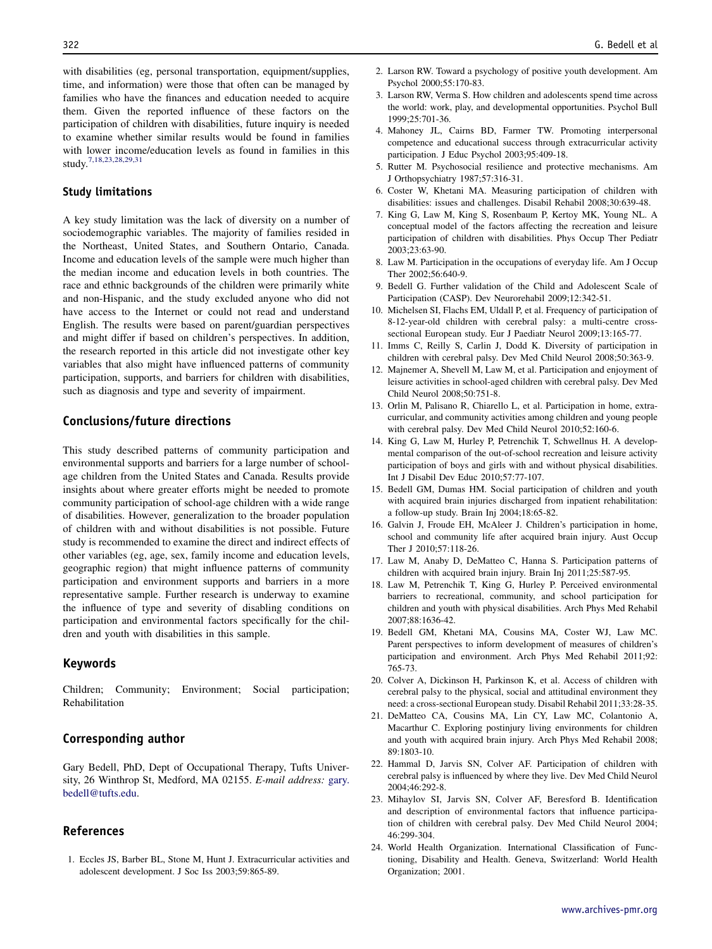<span id="page-7-0"></span>with disabilities (eg, personal transportation, equipment/supplies, time, and information) were those that often can be managed by families who have the finances and education needed to acquire them. Given the reported influence of these factors on the participation of children with disabilities, future inquiry is needed to examine whether similar results would be found in families with lower income/education levels as found in families in this study.7,18,23,28,29,31

#### Study limitations

A key study limitation was the lack of diversity on a number of sociodemographic variables. The majority of families resided in the Northeast, United States, and Southern Ontario, Canada. Income and education levels of the sample were much higher than the median income and education levels in both countries. The race and ethnic backgrounds of the children were primarily white and non-Hispanic, and the study excluded anyone who did not have access to the Internet or could not read and understand English. The results were based on parent/guardian perspectives and might differ if based on children's perspectives. In addition, the research reported in this article did not investigate other key variables that also might have influenced patterns of community participation, supports, and barriers for children with disabilities, such as diagnosis and type and severity of impairment.

# Conclusions/future directions

This study described patterns of community participation and environmental supports and barriers for a large number of schoolage children from the United States and Canada. Results provide insights about where greater efforts might be needed to promote community participation of school-age children with a wide range of disabilities. However, generalization to the broader population of children with and without disabilities is not possible. Future study is recommended to examine the direct and indirect effects of other variables (eg, age, sex, family income and education levels, geographic region) that might influence patterns of community participation and environment supports and barriers in a more representative sample. Further research is underway to examine the influence of type and severity of disabling conditions on participation and environmental factors specifically for the children and youth with disabilities in this sample.

#### Keywords

Children; Community; Environment; Social participation; Rehabilitation

# Corresponding author

Gary Bedell, PhD, Dept of Occupational Therapy, Tufts University, 26 Winthrop St, Medford, MA 02155. E-mail address: [gary.](mailto:gary.bedell@tufts.edu) [bedell@tufts.edu.](mailto:gary.bedell@tufts.edu)

#### References

1. Eccles JS, Barber BL, Stone M, Hunt J. Extracurricular activities and adolescent development. J Soc Iss 2003;59:865-89.

- 2. Larson RW. Toward a psychology of positive youth development. Am Psychol 2000;55:170-83.
- 3. Larson RW, Verma S. How children and adolescents spend time across the world: work, play, and developmental opportunities. Psychol Bull 1999;25:701-36.
- 4. Mahoney JL, Cairns BD, Farmer TW. Promoting interpersonal competence and educational success through extracurricular activity participation. J Educ Psychol 2003;95:409-18.
- 5. Rutter M. Psychosocial resilience and protective mechanisms. Am J Orthopsychiatry 1987;57:316-31.
- 6. Coster W, Khetani MA. Measuring participation of children with disabilities: issues and challenges. Disabil Rehabil 2008;30:639-48.
- 7. King G, Law M, King S, Rosenbaum P, Kertoy MK, Young NL. A conceptual model of the factors affecting the recreation and leisure participation of children with disabilities. Phys Occup Ther Pediatr 2003;23:63-90.
- 8. Law M. Participation in the occupations of everyday life. Am J Occup Ther 2002;56:640-9.
- 9. Bedell G. Further validation of the Child and Adolescent Scale of Participation (CASP). Dev Neurorehabil 2009;12:342-51.
- 10. Michelsen SI, Flachs EM, Uldall P, et al. Frequency of participation of 8-12-year-old children with cerebral palsy: a multi-centre crosssectional European study. Eur J Paediatr Neurol 2009;13:165-77.
- 11. Imms C, Reilly S, Carlin J, Dodd K. Diversity of participation in children with cerebral palsy. Dev Med Child Neurol 2008;50:363-9.
- 12. Majnemer A, Shevell M, Law M, et al. Participation and enjoyment of leisure activities in school-aged children with cerebral palsy. Dev Med Child Neurol 2008;50:751-8.
- 13. Orlin M, Palisano R, Chiarello L, et al. Participation in home, extracurricular, and community activities among children and young people with cerebral palsy. Dev Med Child Neurol 2010;52:160-6.
- 14. King G, Law M, Hurley P, Petrenchik T, Schwellnus H. A developmental comparison of the out-of-school recreation and leisure activity participation of boys and girls with and without physical disabilities. Int J Disabil Dev Educ 2010;57:77-107.
- 15. Bedell GM, Dumas HM. Social participation of children and youth with acquired brain injuries discharged from inpatient rehabilitation: a follow-up study. Brain Inj 2004;18:65-82.
- 16. Galvin J, Froude EH, McAleer J. Children's participation in home, school and community life after acquired brain injury. Aust Occup Ther J 2010;57:118-26.
- 17. Law M, Anaby D, DeMatteo C, Hanna S. Participation patterns of children with acquired brain injury. Brain Inj 2011;25:587-95.
- 18. Law M, Petrenchik T, King G, Hurley P. Perceived environmental barriers to recreational, community, and school participation for children and youth with physical disabilities. Arch Phys Med Rehabil 2007;88:1636-42.
- 19. Bedell GM, Khetani MA, Cousins MA, Coster WJ, Law MC. Parent perspectives to inform development of measures of children's participation and environment. Arch Phys Med Rehabil 2011;92: 765-73.
- 20. Colver A, Dickinson H, Parkinson K, et al. Access of children with cerebral palsy to the physical, social and attitudinal environment they need: a cross-sectional European study. Disabil Rehabil 2011;33:28-35.
- 21. DeMatteo CA, Cousins MA, Lin CY, Law MC, Colantonio A, Macarthur C. Exploring postinjury living environments for children and youth with acquired brain injury. Arch Phys Med Rehabil 2008; 89:1803-10.
- 22. Hammal D, Jarvis SN, Colver AF. Participation of children with cerebral palsy is influenced by where they live. Dev Med Child Neurol 2004;46:292-8.
- 23. Mihaylov SI, Jarvis SN, Colver AF, Beresford B. Identification and description of environmental factors that influence participation of children with cerebral palsy. Dev Med Child Neurol 2004; 46:299-304.
- 24. World Health Organization. International Classification of Functioning, Disability and Health. Geneva, Switzerland: World Health Organization; 2001.